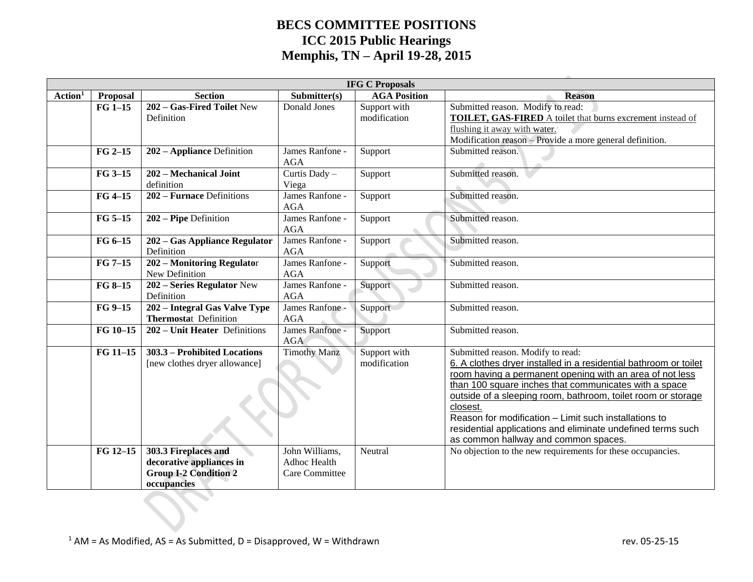|                     | <b>IFG C Proposals</b> |                                                                                                 |                                                         |                              |                                                                                                                                                                                                                                                                                                                                                                                                                                                                        |  |  |  |  |
|---------------------|------------------------|-------------------------------------------------------------------------------------------------|---------------------------------------------------------|------------------------------|------------------------------------------------------------------------------------------------------------------------------------------------------------------------------------------------------------------------------------------------------------------------------------------------------------------------------------------------------------------------------------------------------------------------------------------------------------------------|--|--|--|--|
| Action <sup>1</sup> | Proposal               | <b>Section</b>                                                                                  | Submitter(s)                                            | <b>AGA Position</b>          | <b>Reason</b>                                                                                                                                                                                                                                                                                                                                                                                                                                                          |  |  |  |  |
|                     | $FG 1-15$              | 202 - Gas-Fired Toilet New<br>Definition                                                        | Donald Jones                                            | Support with<br>modification | Submitted reason. Modify to read:<br>TOILET, GAS-FIRED A toilet that burns excrement instead of<br>flushing it away with water.<br>Modification reason - Provide a more general definition.                                                                                                                                                                                                                                                                            |  |  |  |  |
|                     | $FG 2-15$              | 202 - Appliance Definition                                                                      | James Ranfone -<br>AGA                                  | Support                      | Submitted reason.                                                                                                                                                                                                                                                                                                                                                                                                                                                      |  |  |  |  |
|                     | FG 3-15                | 202 - Mechanical Joint<br>definition                                                            | Curtis Dady -<br>Viega                                  | Support                      | Submitted reason.                                                                                                                                                                                                                                                                                                                                                                                                                                                      |  |  |  |  |
|                     | $FG4-15$               | 202 – Furnace Definitions                                                                       | James Ranfone -<br><b>AGA</b>                           | Support                      | Submitted reason.                                                                                                                                                                                                                                                                                                                                                                                                                                                      |  |  |  |  |
|                     | $FG 5-15$              | 202 - Pipe Definition                                                                           | James Ranfone -<br><b>AGA</b>                           | Support                      | Submitted reason.                                                                                                                                                                                                                                                                                                                                                                                                                                                      |  |  |  |  |
|                     | FG 6-15                | 202 – Gas Appliance Regulator<br>Definition                                                     | James Ranfone -<br><b>AGA</b>                           | Support                      | Submitted reason.                                                                                                                                                                                                                                                                                                                                                                                                                                                      |  |  |  |  |
|                     | $FG 7-15$              | 202 - Monitoring Regulator<br>New Definition                                                    | James Ranfone -<br><b>AGA</b>                           | Support                      | Submitted reason.                                                                                                                                                                                                                                                                                                                                                                                                                                                      |  |  |  |  |
|                     | FG 8-15                | 202 - Series Regulator New<br>Definition                                                        | James Ranfone -<br><b>AGA</b>                           | Support                      | Submitted reason.                                                                                                                                                                                                                                                                                                                                                                                                                                                      |  |  |  |  |
|                     | FG 9-15                | 202 - Integral Gas Valve Type<br><b>Thermostat Definition</b>                                   | James Ranfone -<br><b>AGA</b>                           | Support                      | Submitted reason.                                                                                                                                                                                                                                                                                                                                                                                                                                                      |  |  |  |  |
|                     | FG 10-15               | 202 – Unit Heater Definitions                                                                   | James Ranfone -<br><b>AGA</b>                           | Support                      | Submitted reason.                                                                                                                                                                                                                                                                                                                                                                                                                                                      |  |  |  |  |
|                     | FG 11-15               | 303.3 - Prohibited Locations<br>[new clothes dryer allowance]                                   | <b>Timothy Manz</b>                                     | Support with<br>modification | Submitted reason. Modify to read:<br>6. A clothes dryer installed in a residential bathroom or toilet<br>room having a permanent opening with an area of not less<br>than 100 square inches that communicates with a space<br>outside of a sleeping room, bathroom, toilet room or storage<br>closest.<br>Reason for modification - Limit such installations to<br>residential applications and eliminate undefined terms such<br>as common hallway and common spaces. |  |  |  |  |
|                     | FG 12-15               | 303.3 Fireplaces and<br>decorative appliances in<br><b>Group I-2 Condition 2</b><br>occupancies | John Williams,<br>Adhoc Health<br><b>Care Committee</b> | Neutral                      | No objection to the new requirements for these occupancies.                                                                                                                                                                                                                                                                                                                                                                                                            |  |  |  |  |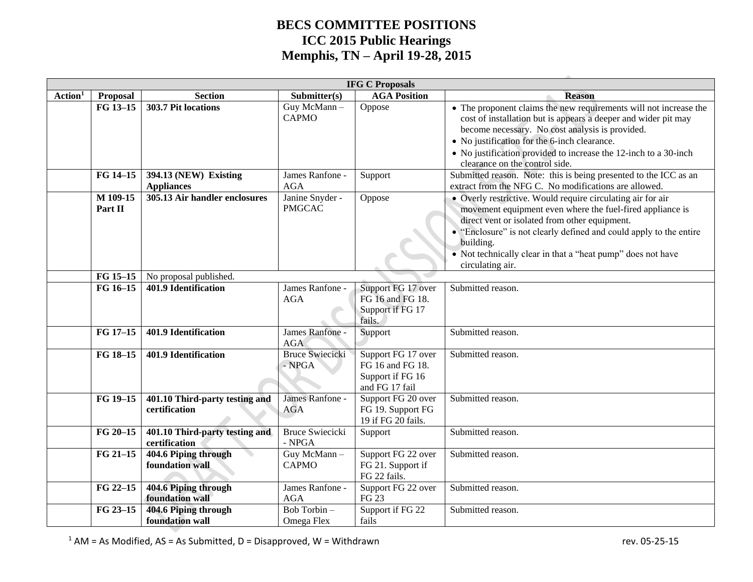|                     | <b>IFG C Proposals</b> |                                                 |                                    |                                                                              |                                                                                                                                                                                                                                                                                                                                                 |  |  |  |
|---------------------|------------------------|-------------------------------------------------|------------------------------------|------------------------------------------------------------------------------|-------------------------------------------------------------------------------------------------------------------------------------------------------------------------------------------------------------------------------------------------------------------------------------------------------------------------------------------------|--|--|--|
| Action <sup>1</sup> | <b>Proposal</b>        | <b>Section</b>                                  | Submitter(s)                       | <b>AGA Position</b>                                                          | <b>Reason</b>                                                                                                                                                                                                                                                                                                                                   |  |  |  |
|                     | FG 13-15               | 303.7 Pit locations                             | Guy McMann-<br><b>CAPMO</b>        | Oppose                                                                       | • The proponent claims the new requirements will not increase the<br>cost of installation but is appears a deeper and wider pit may<br>become necessary. No cost analysis is provided.<br>• No justification for the 6-inch clearance.<br>• No justification provided to increase the 12-inch to a 30-inch<br>clearance on the control side.    |  |  |  |
|                     | FG 14-15               | 394.13 (NEW) Existing<br><b>Appliances</b>      | James Ranfone -<br><b>AGA</b>      | Support                                                                      | Submitted reason. Note: this is being presented to the ICC as an<br>extract from the NFG C. No modifications are allowed.                                                                                                                                                                                                                       |  |  |  |
|                     | M 109-15<br>Part II    | 305.13 Air handler enclosures                   | Janine Snyder -<br><b>PMGCAC</b>   | Oppose                                                                       | • Overly restrictive. Would require circulating air for air<br>movement equipment even where the fuel-fired appliance is<br>direct vent or isolated from other equipment.<br>• "Enclosure" is not clearly defined and could apply to the entire<br>building.<br>• Not technically clear in that a "heat pump" does not have<br>circulating air. |  |  |  |
|                     | FG 15-15               | No proposal published.                          |                                    |                                                                              |                                                                                                                                                                                                                                                                                                                                                 |  |  |  |
|                     | FG 16-15               | 401.9 Identification                            | James Ranfone -<br><b>AGA</b>      | Support FG 17 over<br>FG 16 and FG 18.<br>Support if FG 17<br>fails.         | Submitted reason.                                                                                                                                                                                                                                                                                                                               |  |  |  |
|                     | FG 17-15               | 401.9 Identification                            | James Ranfone -<br><b>AGA</b>      | Support                                                                      | Submitted reason.                                                                                                                                                                                                                                                                                                                               |  |  |  |
|                     | FG 18-15               | <b>401.9 Identification</b>                     | <b>Bruce Swiecicki</b><br>$-$ NPGA | Support FG 17 over<br>FG 16 and FG 18.<br>Support if FG 16<br>and FG 17 fail | Submitted reason.                                                                                                                                                                                                                                                                                                                               |  |  |  |
|                     | FG 19-15               | 401.10 Third-party testing and<br>certification | James Ranfone -<br><b>AGA</b>      | Support FG 20 over<br>FG 19. Support FG<br>19 if FG 20 fails.                | Submitted reason.                                                                                                                                                                                                                                                                                                                               |  |  |  |
|                     | FG 20-15               | 401.10 Third-party testing and<br>certification | <b>Bruce Swiecicki</b><br>- NPGA   | Support                                                                      | Submitted reason.                                                                                                                                                                                                                                                                                                                               |  |  |  |
|                     | FG 21-15               | 404.6 Piping through<br>foundation wall         | Guy McMann-<br><b>CAPMO</b>        | Support FG 22 over<br>FG 21. Support if<br>FG 22 fails.                      | Submitted reason.                                                                                                                                                                                                                                                                                                                               |  |  |  |
|                     | FG 22-15               | 404.6 Piping through<br>foundation wall         | James Ranfone -<br><b>AGA</b>      | Support FG 22 over<br>FG 23                                                  | Submitted reason.                                                                                                                                                                                                                                                                                                                               |  |  |  |
|                     | FG 23-15               | 404.6 Piping through<br>foundation wall         | Bob Torbin-<br>Omega Flex          | Support if FG 22<br>fails                                                    | Submitted reason.                                                                                                                                                                                                                                                                                                                               |  |  |  |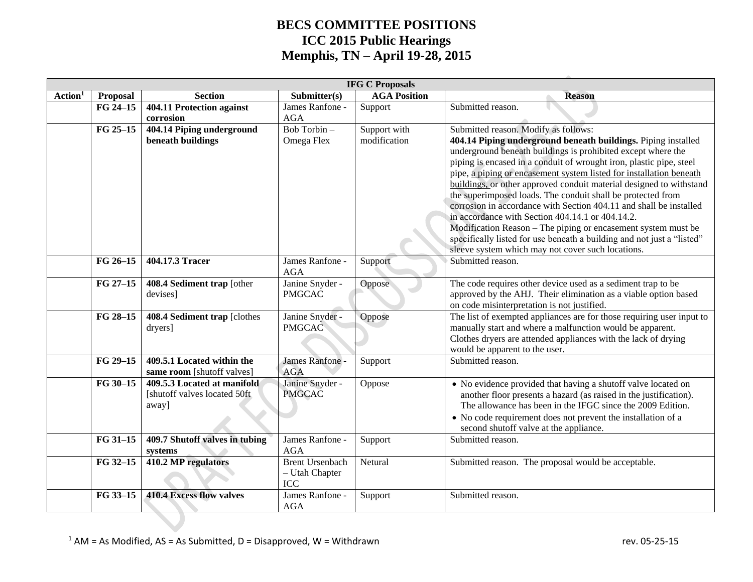|                     | <b>IFG C Proposals</b> |                                 |                               |                     |                                                                        |  |  |  |  |  |
|---------------------|------------------------|---------------------------------|-------------------------------|---------------------|------------------------------------------------------------------------|--|--|--|--|--|
| Action <sup>1</sup> | <b>Proposal</b>        | <b>Section</b>                  | Submitter(s)                  | <b>AGA Position</b> | <b>Reason</b>                                                          |  |  |  |  |  |
|                     | FG 24-15               | 404.11 Protection against       | James Ranfone -               | Support             | Submitted reason.                                                      |  |  |  |  |  |
|                     |                        | corrosion                       | <b>AGA</b>                    |                     |                                                                        |  |  |  |  |  |
|                     | FG 25-15               | 404.14 Piping underground       | Bob Torbin $-$                | Support with        | Submitted reason. Modify as follows:                                   |  |  |  |  |  |
|                     |                        | beneath buildings               | Omega Flex                    | modification        | 404.14 Piping underground beneath buildings. Piping installed          |  |  |  |  |  |
|                     |                        |                                 |                               |                     | underground beneath buildings is prohibited except where the           |  |  |  |  |  |
|                     |                        |                                 |                               |                     | piping is encased in a conduit of wrought iron, plastic pipe, steel    |  |  |  |  |  |
|                     |                        |                                 |                               |                     | pipe, a piping or encasement system listed for installation beneath    |  |  |  |  |  |
|                     |                        |                                 |                               |                     | buildings, or other approved conduit material designed to withstand    |  |  |  |  |  |
|                     |                        |                                 |                               |                     | the superimposed loads. The conduit shall be protected from            |  |  |  |  |  |
|                     |                        |                                 |                               |                     | corrosion in accordance with Section 404.11 and shall be installed     |  |  |  |  |  |
|                     |                        |                                 |                               |                     | in accordance with Section 404.14.1 or 404.14.2.                       |  |  |  |  |  |
|                     |                        |                                 |                               |                     | Modification Reason - The piping or encasement system must be          |  |  |  |  |  |
|                     |                        |                                 |                               |                     | specifically listed for use beneath a building and not just a "listed" |  |  |  |  |  |
|                     |                        |                                 |                               |                     | sleeve system which may not cover such locations.                      |  |  |  |  |  |
|                     | FG 26-15               | 404.17.3 Tracer                 | James Ranfone -<br><b>AGA</b> | Support             | Submitted reason.                                                      |  |  |  |  |  |
|                     | FG 27-15               | 408.4 Sediment trap [other      | Janine Snyder -               | Oppose              | The code requires other device used as a sediment trap to be           |  |  |  |  |  |
|                     |                        | devises]                        | <b>PMGCAC</b>                 |                     | approved by the AHJ. Their elimination as a viable option based        |  |  |  |  |  |
|                     |                        |                                 |                               |                     | on code misinterpretation is not justified.                            |  |  |  |  |  |
|                     | FG 28-15               | 408.4 Sediment trap [clothes]   | Janine Snyder -               | Oppose              | The list of exempted appliances are for those requiring user input to  |  |  |  |  |  |
|                     |                        | dryers]                         | <b>PMGCAC</b>                 |                     | manually start and where a malfunction would be apparent.              |  |  |  |  |  |
|                     |                        |                                 |                               |                     | Clothes dryers are attended appliances with the lack of drying         |  |  |  |  |  |
|                     |                        |                                 |                               |                     | would be apparent to the user.                                         |  |  |  |  |  |
|                     | FG 29-15               | 409.5.1 Located within the      | James Ranfone -               | Support             | Submitted reason.                                                      |  |  |  |  |  |
|                     |                        | same room [shutoff valves]      | <b>AGA</b>                    |                     |                                                                        |  |  |  |  |  |
|                     | FG 30-15               | 409.5.3 Located at manifold     | Janine Snyder -               | Oppose              | • No evidence provided that having a shutoff valve located on          |  |  |  |  |  |
|                     |                        | [shutoff valves located 50ft]   | <b>PMGCAC</b>                 |                     | another floor presents a hazard (as raised in the justification).      |  |  |  |  |  |
|                     |                        | away]                           |                               |                     | The allowance has been in the IFGC since the 2009 Edition.             |  |  |  |  |  |
|                     |                        |                                 |                               |                     | • No code requirement does not prevent the installation of a           |  |  |  |  |  |
|                     |                        |                                 |                               |                     | second shutoff valve at the appliance.                                 |  |  |  |  |  |
|                     | FG 31-15               | 409.7 Shutoff valves in tubing  | James Ranfone -               | Support             | Submitted reason.                                                      |  |  |  |  |  |
|                     |                        | systems                         | <b>AGA</b>                    |                     |                                                                        |  |  |  |  |  |
|                     | FG 32-15               | 410.2 MP regulators             | <b>Brent Ursenbach</b>        | Netural             | Submitted reason. The proposal would be acceptable.                    |  |  |  |  |  |
|                     |                        |                                 | - Utah Chapter                |                     |                                                                        |  |  |  |  |  |
|                     |                        | <b>410.4 Excess flow valves</b> | ICC                           |                     |                                                                        |  |  |  |  |  |
|                     | FG 33-15               |                                 | James Ranfone -<br><b>AGA</b> | Support             | Submitted reason.                                                      |  |  |  |  |  |
|                     |                        |                                 |                               |                     |                                                                        |  |  |  |  |  |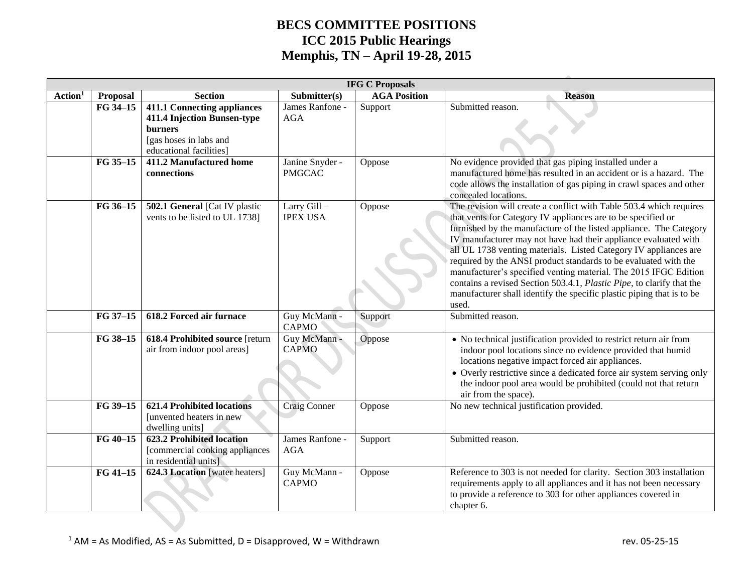|                     | <b>IFG C Proposals</b> |                                                                                                                                   |                                  |                     |                                                                                                                                                                                                                                                                                                                                                                                                                                                                                                                                                                                                                                                    |  |  |  |  |
|---------------------|------------------------|-----------------------------------------------------------------------------------------------------------------------------------|----------------------------------|---------------------|----------------------------------------------------------------------------------------------------------------------------------------------------------------------------------------------------------------------------------------------------------------------------------------------------------------------------------------------------------------------------------------------------------------------------------------------------------------------------------------------------------------------------------------------------------------------------------------------------------------------------------------------------|--|--|--|--|
| Action <sup>1</sup> | Proposal               | <b>Section</b>                                                                                                                    | Submitter(s)                     | <b>AGA Position</b> | <b>Reason</b>                                                                                                                                                                                                                                                                                                                                                                                                                                                                                                                                                                                                                                      |  |  |  |  |
|                     | FG 34-15               | <b>411.1 Connecting appliances</b><br>411.4 Injection Bunsen-type<br>burners<br>[gas hoses in labs and<br>educational facilities] | James Ranfone -<br><b>AGA</b>    | Support             | Submitted reason.                                                                                                                                                                                                                                                                                                                                                                                                                                                                                                                                                                                                                                  |  |  |  |  |
|                     | FG 35-15               | 411.2 Manufactured home<br>connections                                                                                            | Janine Snyder -<br><b>PMGCAC</b> | Oppose              | No evidence provided that gas piping installed under a<br>manufactured home has resulted in an accident or is a hazard. The<br>code allows the installation of gas piping in crawl spaces and other<br>concealed locations.                                                                                                                                                                                                                                                                                                                                                                                                                        |  |  |  |  |
|                     | FG 36-15               | 502.1 General [Cat IV plastic<br>vents to be listed to UL 1738]                                                                   | Larry Gill-<br><b>IPEX USA</b>   | Oppose              | The revision will create a conflict with Table 503.4 which requires<br>that vents for Category IV appliances are to be specified or<br>furnished by the manufacture of the listed appliance. The Category<br>IV manufacturer may not have had their appliance evaluated with<br>all UL 1738 venting materials. Listed Category IV appliances are<br>required by the ANSI product standards to be evaluated with the<br>manufacturer's specified venting material. The 2015 IFGC Edition<br>contains a revised Section 503.4.1, Plastic Pipe, to clarify that the<br>manufacturer shall identify the specific plastic piping that is to be<br>used. |  |  |  |  |
|                     | FG 37-15               | 618.2 Forced air furnace                                                                                                          | Guy McMann -<br><b>CAPMO</b>     | Support             | Submitted reason.                                                                                                                                                                                                                                                                                                                                                                                                                                                                                                                                                                                                                                  |  |  |  |  |
|                     | FG 38-15               | 618.4 Prohibited source [return<br>air from indoor pool areas]                                                                    | Guy McMann -<br><b>CAPMO</b>     | Oppose              | • No technical justification provided to restrict return air from<br>indoor pool locations since no evidence provided that humid<br>locations negative impact forced air appliances.<br>• Overly restrictive since a dedicated force air system serving only<br>the indoor pool area would be prohibited (could not that return<br>air from the space).                                                                                                                                                                                                                                                                                            |  |  |  |  |
|                     | FG 39-15               | <b>621.4 Prohibited locations</b><br>[unvented heaters in new<br>dwelling units]                                                  | <b>Craig Conner</b>              | Oppose              | No new technical justification provided.                                                                                                                                                                                                                                                                                                                                                                                                                                                                                                                                                                                                           |  |  |  |  |
|                     | FG 40-15               | <b>623.2 Prohibited location</b><br>[commercial cooking appliances<br>in residential units]                                       | James Ranfone -<br><b>AGA</b>    | Support             | Submitted reason.                                                                                                                                                                                                                                                                                                                                                                                                                                                                                                                                                                                                                                  |  |  |  |  |
|                     | FG 41-15               | 624.3 Location [water heaters]                                                                                                    | Guy McMann -<br>CAPMO            | Oppose              | Reference to 303 is not needed for clarity. Section 303 installation<br>requirements apply to all appliances and it has not been necessary<br>to provide a reference to 303 for other appliances covered in<br>chapter 6.                                                                                                                                                                                                                                                                                                                                                                                                                          |  |  |  |  |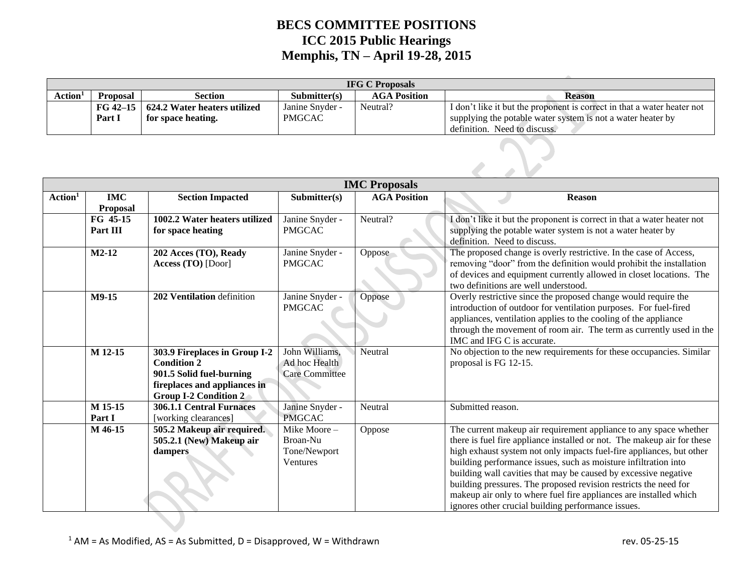| <b>IFG C Proposals</b> |                 |                              |                         |                     |                                                                         |  |  |  |  |
|------------------------|-----------------|------------------------------|-------------------------|---------------------|-------------------------------------------------------------------------|--|--|--|--|
| Action <sup>1</sup>    | <b>Proposal</b> | Section                      | $\mathbf{Submitter(s)}$ | <b>AGA Position</b> | Reason                                                                  |  |  |  |  |
|                        | $FG 42-15$      | 624.2 Water heaters utilized | Janine Snyder -         | Neutral?            | I don't like it but the proponent is correct in that a water heater not |  |  |  |  |
|                        | Part I          | for space heating.           | <b>PMGCAC</b>           |                     | supplying the potable water system is not a water heater by             |  |  |  |  |
|                        |                 |                              |                         |                     | definition. Need to discuss.                                            |  |  |  |  |

|                     |                               |                                                              |                                  | <b>IMC Proposals</b> |                                                                                                                                                                                                                                                                                                            |
|---------------------|-------------------------------|--------------------------------------------------------------|----------------------------------|----------------------|------------------------------------------------------------------------------------------------------------------------------------------------------------------------------------------------------------------------------------------------------------------------------------------------------------|
| Action <sup>1</sup> | <b>IMC</b><br><b>Proposal</b> | <b>Section Impacted</b>                                      | Submitter(s)                     | <b>AGA Position</b>  | <b>Reason</b>                                                                                                                                                                                                                                                                                              |
|                     | FG 45-15                      | 1002.2 Water heaters utilized                                | Janine Snyder -                  | Neutral?             | I don't like it but the proponent is correct in that a water heater not                                                                                                                                                                                                                                    |
|                     | Part III                      | for space heating                                            | <b>PMGCAC</b>                    |                      | supplying the potable water system is not a water heater by<br>definition. Need to discuss.                                                                                                                                                                                                                |
|                     | $M2-12$                       | 202 Acces (TO), Ready<br>Access (TO) [Door]                  | Janine Snyder -<br><b>PMGCAC</b> | Oppose               | The proposed change is overly restrictive. In the case of Access,<br>removing "door" from the definition would prohibit the installation<br>of devices and equipment currently allowed in closet locations. The<br>two definitions are well understood.                                                    |
|                     | M9-15                         | 202 Ventilation definition                                   | Janine Snyder -<br><b>PMGCAC</b> | Oppose               | Overly restrictive since the proposed change would require the<br>introduction of outdoor for ventilation purposes. For fuel-fired<br>appliances, ventilation applies to the cooling of the appliance<br>through the movement of room air. The term as currently used in the<br>IMC and IFG C is accurate. |
|                     | M 12-15                       | 303.9 Fireplaces in Group I-2<br><b>Condition 2</b>          | John Williams,<br>Ad hoc Health  | Neutral              | No objection to the new requirements for these occupancies. Similar<br>proposal is FG 12-15.                                                                                                                                                                                                               |
|                     |                               | 901.5 Solid fuel-burning                                     | <b>Care Committee</b>            |                      |                                                                                                                                                                                                                                                                                                            |
|                     |                               | fireplaces and appliances in<br><b>Group I-2 Condition 2</b> |                                  |                      |                                                                                                                                                                                                                                                                                                            |
|                     | M 15-15                       | <b>306.1.1 Central Furnaces</b>                              | Janine Snyder -                  | Neutral              | Submitted reason.                                                                                                                                                                                                                                                                                          |
|                     | Part I                        | [working clearances]                                         | <b>PMGCAC</b>                    |                      |                                                                                                                                                                                                                                                                                                            |
|                     | M 46-15                       | 505.2 Makeup air required.                                   | Mike Moore-                      | Oppose               | The current makeup air requirement appliance to any space whether                                                                                                                                                                                                                                          |
|                     |                               | 505.2.1 (New) Makeup air                                     | Broan-Nu                         |                      | there is fuel fire appliance installed or not. The makeup air for these                                                                                                                                                                                                                                    |
|                     |                               | dampers                                                      | Tone/Newport<br>Ventures         |                      | high exhaust system not only impacts fuel-fire appliances, but other                                                                                                                                                                                                                                       |
|                     |                               |                                                              |                                  |                      | building performance issues, such as moisture infiltration into<br>building wall cavities that may be caused by excessive negative                                                                                                                                                                         |
|                     |                               |                                                              |                                  |                      | building pressures. The proposed revision restricts the need for                                                                                                                                                                                                                                           |
|                     |                               |                                                              |                                  |                      | makeup air only to where fuel fire appliances are installed which                                                                                                                                                                                                                                          |
|                     |                               |                                                              |                                  |                      | ignores other crucial building performance issues.                                                                                                                                                                                                                                                         |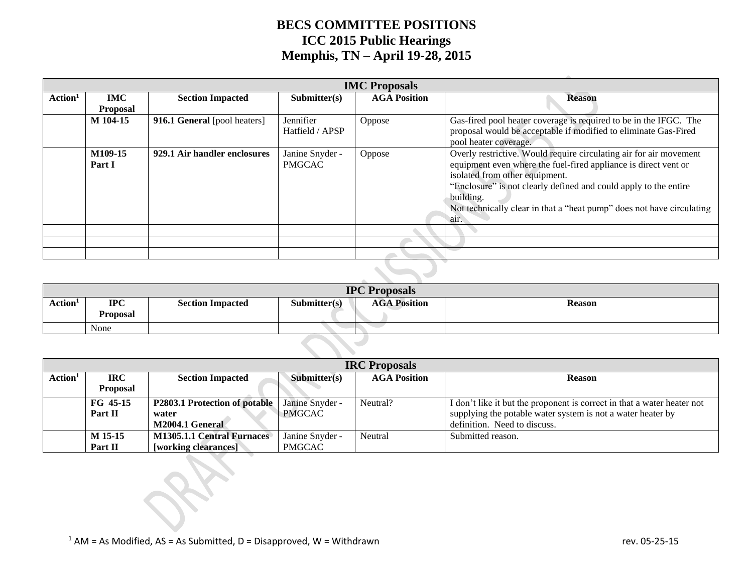|                     | <b>IMC Proposals</b>          |                              |                                  |                     |                                                                                                                                                                                                                                                                                                                                           |  |  |  |  |
|---------------------|-------------------------------|------------------------------|----------------------------------|---------------------|-------------------------------------------------------------------------------------------------------------------------------------------------------------------------------------------------------------------------------------------------------------------------------------------------------------------------------------------|--|--|--|--|
| Action <sup>1</sup> | <b>IMC</b><br><b>Proposal</b> | <b>Section Impacted</b>      | Submitter(s)                     | <b>AGA Position</b> | <b>Reason</b>                                                                                                                                                                                                                                                                                                                             |  |  |  |  |
|                     | M 104-15                      | 916.1 General [pool heaters] | Jennifier<br>Hatfield / APSP     | Oppose              | Gas-fired pool heater coverage is required to be in the IFGC. The<br>proposal would be acceptable if modified to eliminate Gas-Fired<br>pool heater coverage.                                                                                                                                                                             |  |  |  |  |
|                     | M109-15<br>Part I             | 929.1 Air handler enclosures | Janine Snyder -<br><b>PMGCAC</b> | Oppose              | Overly restrictive. Would require circulating air for air movement<br>equipment even where the fuel-fired appliance is direct vent or<br>isolated from other equipment.<br>"Enclosure" is not clearly defined and could apply to the entire<br>building.<br>Not technically clear in that a "heat pump" does not have circulating<br>air. |  |  |  |  |
|                     |                               |                              |                                  |                     |                                                                                                                                                                                                                                                                                                                                           |  |  |  |  |
|                     |                               |                              |                                  |                     |                                                                                                                                                                                                                                                                                                                                           |  |  |  |  |
|                     |                               |                              |                                  |                     |                                                                                                                                                                                                                                                                                                                                           |  |  |  |  |
|                     |                               |                              |                                  |                     |                                                                                                                                                                                                                                                                                                                                           |  |  |  |  |

|                     | <b>IPC Proposals</b> |                         |              |                     |               |  |  |  |
|---------------------|----------------------|-------------------------|--------------|---------------------|---------------|--|--|--|
| Action <sup>1</sup> | <b>IPC</b>           | <b>Section Impacted</b> | Submitter(s) | <b>AGA Position</b> | <b>Reason</b> |  |  |  |
|                     | <b>Proposal</b>      |                         |              |                     |               |  |  |  |
|                     | None                 |                         |              |                     |               |  |  |  |

|                                                                                                                      | <b>IRC</b> Proposals |                                      |                 |          |                                                                         |  |  |  |  |  |
|----------------------------------------------------------------------------------------------------------------------|----------------------|--------------------------------------|-----------------|----------|-------------------------------------------------------------------------|--|--|--|--|--|
| Action <sup>1</sup><br><b>IRC</b><br><b>AGA Position</b><br>Submitter(s)<br><b>Section Impacted</b><br><b>Reason</b> |                      |                                      |                 |          |                                                                         |  |  |  |  |  |
|                                                                                                                      | <b>Proposal</b>      |                                      |                 |          |                                                                         |  |  |  |  |  |
|                                                                                                                      | FG 45-15             | <b>P2803.1 Protection of potable</b> | Janine Snyder - | Neutral? | I don't like it but the proponent is correct in that a water heater not |  |  |  |  |  |
|                                                                                                                      | Part II              | water                                | <b>PMGCAC</b>   |          | supplying the potable water system is not a water heater by             |  |  |  |  |  |
|                                                                                                                      |                      | M2004.1 General                      |                 |          | definition. Need to discuss.                                            |  |  |  |  |  |
|                                                                                                                      | M 15-15              | <b>M1305.1.1 Central Furnaces</b>    | Janine Snyder - | Neutral  | Submitted reason.                                                       |  |  |  |  |  |
|                                                                                                                      | Part II              | [working clearances]                 | <b>PMGCAC</b>   |          |                                                                         |  |  |  |  |  |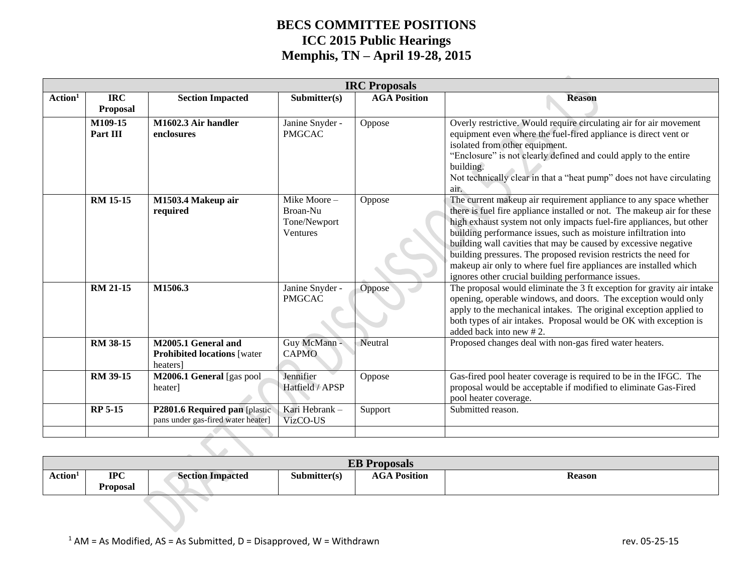|                     | <b>IRC Proposals</b>          |                                                                       |                                                     |                     |                                                                                                                                                                                                                                                                                                                                                                                                                                                                                                                                                           |  |  |  |  |
|---------------------|-------------------------------|-----------------------------------------------------------------------|-----------------------------------------------------|---------------------|-----------------------------------------------------------------------------------------------------------------------------------------------------------------------------------------------------------------------------------------------------------------------------------------------------------------------------------------------------------------------------------------------------------------------------------------------------------------------------------------------------------------------------------------------------------|--|--|--|--|
| Action <sup>1</sup> | <b>IRC</b><br><b>Proposal</b> | <b>Section Impacted</b>                                               | Submitter(s)                                        | <b>AGA Position</b> | <b>Reason</b>                                                                                                                                                                                                                                                                                                                                                                                                                                                                                                                                             |  |  |  |  |
|                     | M109-15<br>Part III           | M1602.3 Air handler<br>enclosures                                     | Janine Snyder -<br><b>PMGCAC</b>                    | Oppose              | Overly restrictive. Would require circulating air for air movement<br>equipment even where the fuel-fired appliance is direct vent or<br>isolated from other equipment.<br>"Enclosure" is not clearly defined and could apply to the entire<br>building.<br>Not technically clear in that a "heat pump" does not have circulating<br>air.                                                                                                                                                                                                                 |  |  |  |  |
|                     | <b>RM 15-15</b>               | M1503.4 Makeup air<br>required                                        | Mike Moore-<br>Broan-Nu<br>Tone/Newport<br>Ventures | Oppose              | The current makeup air requirement appliance to any space whether<br>there is fuel fire appliance installed or not. The makeup air for these<br>high exhaust system not only impacts fuel-fire appliances, but other<br>building performance issues, such as moisture infiltration into<br>building wall cavities that may be caused by excessive negative<br>building pressures. The proposed revision restricts the need for<br>makeup air only to where fuel fire appliances are installed which<br>ignores other crucial building performance issues. |  |  |  |  |
|                     | <b>RM 21-15</b>               | M1506.3                                                               | Janine Snyder -<br><b>PMGCAC</b>                    | Oppose              | The proposal would eliminate the 3 ft exception for gravity air intake<br>opening, operable windows, and doors. The exception would only<br>apply to the mechanical intakes. The original exception applied to<br>both types of air intakes. Proposal would be OK with exception is<br>added back into new #2.                                                                                                                                                                                                                                            |  |  |  |  |
|                     | RM 38-15                      | M2005.1 General and<br><b>Prohibited locations [water</b><br>heaters] | Guy McMann -<br><b>CAPMO</b>                        | Neutral             | Proposed changes deal with non-gas fired water heaters.                                                                                                                                                                                                                                                                                                                                                                                                                                                                                                   |  |  |  |  |
|                     | RM 39-15                      | M2006.1 General [gas pool<br>heater]                                  | Jennifier<br>Hatfield / APSP                        | Oppose              | Gas-fired pool heater coverage is required to be in the IFGC. The<br>proposal would be acceptable if modified to eliminate Gas-Fired<br>pool heater coverage.                                                                                                                                                                                                                                                                                                                                                                                             |  |  |  |  |
|                     | <b>RP 5-15</b>                | P2801.6 Required pan [plastic]<br>pans under gas-fired water heater]  | Kari Hebrank -<br>VizCO-US                          | Support             | Submitted reason.                                                                                                                                                                                                                                                                                                                                                                                                                                                                                                                                         |  |  |  |  |

| <b>EB</b> Proposals |                               |                         |              |                     |               |  |  |  |
|---------------------|-------------------------------|-------------------------|--------------|---------------------|---------------|--|--|--|
| Action <sup>1</sup> | <b>IPC</b><br><b>Proposal</b> | <b>Section Impacted</b> | Submitter(s) | <b>AGA Position</b> | <b>Reason</b> |  |  |  |